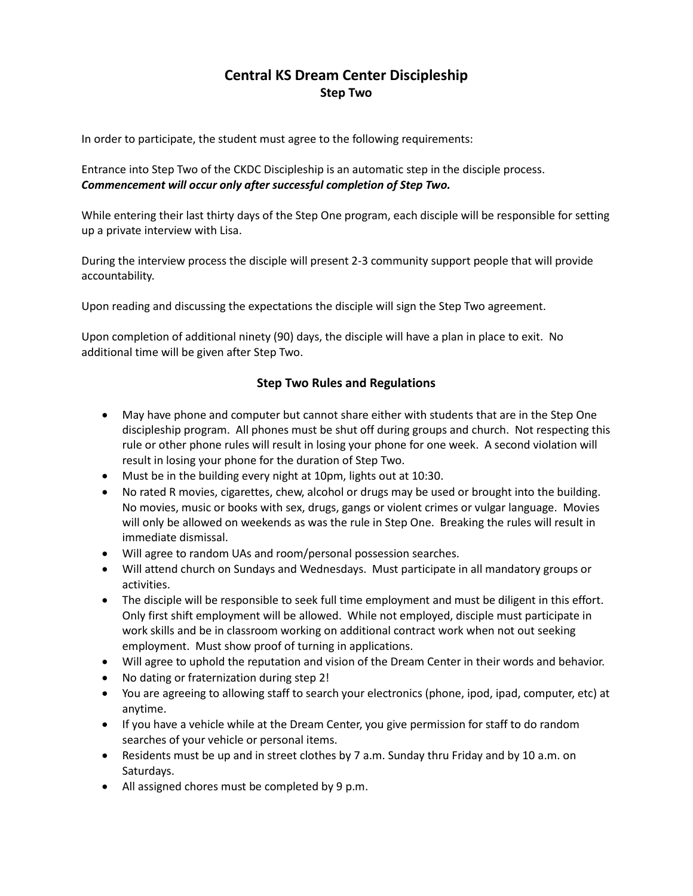## **Central KS Dream Center Discipleship Step Two**

In order to participate, the student must agree to the following requirements:

Entrance into Step Two of the CKDC Discipleship is an automatic step in the disciple process. *Commencement will occur only after successful completion of Step Two.*

While entering their last thirty days of the Step One program, each disciple will be responsible for setting up a private interview with Lisa.

During the interview process the disciple will present 2-3 community support people that will provide accountability.

Upon reading and discussing the expectations the disciple will sign the Step Two agreement.

Upon completion of additional ninety (90) days, the disciple will have a plan in place to exit. No additional time will be given after Step Two.

## **Step Two Rules and Regulations**

- May have phone and computer but cannot share either with students that are in the Step One discipleship program. All phones must be shut off during groups and church. Not respecting this rule or other phone rules will result in losing your phone for one week. A second violation will result in losing your phone for the duration of Step Two.
- Must be in the building every night at 10pm, lights out at 10:30.
- No rated R movies, cigarettes, chew, alcohol or drugs may be used or brought into the building. No movies, music or books with sex, drugs, gangs or violent crimes or vulgar language. Movies will only be allowed on weekends as was the rule in Step One. Breaking the rules will result in immediate dismissal.
- Will agree to random UAs and room/personal possession searches.
- Will attend church on Sundays and Wednesdays. Must participate in all mandatory groups or activities.
- The disciple will be responsible to seek full time employment and must be diligent in this effort. Only first shift employment will be allowed. While not employed, disciple must participate in work skills and be in classroom working on additional contract work when not out seeking employment. Must show proof of turning in applications.
- Will agree to uphold the reputation and vision of the Dream Center in their words and behavior.
- No dating or fraternization during step 2!
- You are agreeing to allowing staff to search your electronics (phone, ipod, ipad, computer, etc) at anytime.
- If you have a vehicle while at the Dream Center, you give permission for staff to do random searches of your vehicle or personal items.
- Residents must be up and in street clothes by 7 a.m. Sunday thru Friday and by 10 a.m. on Saturdays.
- All assigned chores must be completed by 9 p.m.